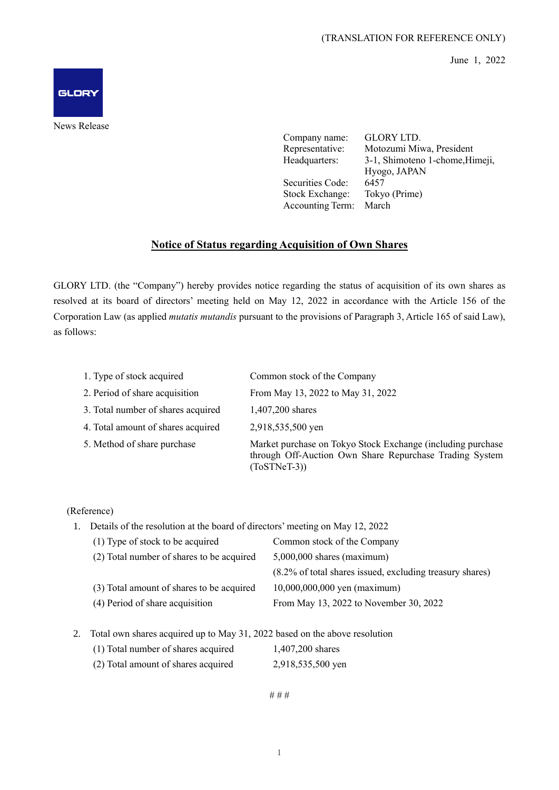June 1, 2022



News Release

Company name: GLORY LTD. Representative: Motozumi Miwa, President Headquarters: 3-1, Shimoteno 1-chome,Himeji, Hyogo, JAPAN Securities Code: 6457 Stock Exchange: Tokyo (Prime) Accounting Term: March

## **Notice of Status regarding Acquisition of Own Shares**

GLORY LTD. (the "Company") hereby provides notice regarding the status of acquisition of its own shares as resolved at its board of directors' meeting held on May 12, 2022 in accordance with the Article 156 of the Corporation Law (as applied *mutatis mutandis* pursuant to the provisions of Paragraph 3, Article 165 of said Law), as follows:

| 1. Type of stock acquired          | Common stock of the Company                                                                                                              |
|------------------------------------|------------------------------------------------------------------------------------------------------------------------------------------|
| 2. Period of share acquisition     | From May 13, 2022 to May 31, 2022                                                                                                        |
| 3. Total number of shares acquired | 1,407,200 shares                                                                                                                         |
| 4. Total amount of shares acquired | 2,918,535,500 yen                                                                                                                        |
| 5. Method of share purchase        | Market purchase on Tokyo Stock Exchange (including purchase<br>through Off-Auction Own Share Repurchase Trading System<br>$(ToSTNeT-3))$ |

(Reference)

1. Details of the resolution at the board of directors' meeting on May 12, 2022

| (1) Type of stock to be acquired          | Common stock of the Company                              |  |
|-------------------------------------------|----------------------------------------------------------|--|
| (2) Total number of shares to be acquired | $5,000,000$ shares (maximum)                             |  |
|                                           | (8.2% of total shares issued, excluding treasury shares) |  |
| (3) Total amount of shares to be acquired | 10,000,000,000 yen (maximum)                             |  |
| (4) Period of share acquisition           | From May 13, 2022 to November 30, 2022                   |  |
|                                           |                                                          |  |

2. Total own shares acquired up to May 31, 2022 based on the above resolution

| (1) Total number of shares acquired | 1,407,200 shares |
|-------------------------------------|------------------|
|                                     |                  |

(2) Total amount of shares acquired 2,918,535,500 yen

# # #